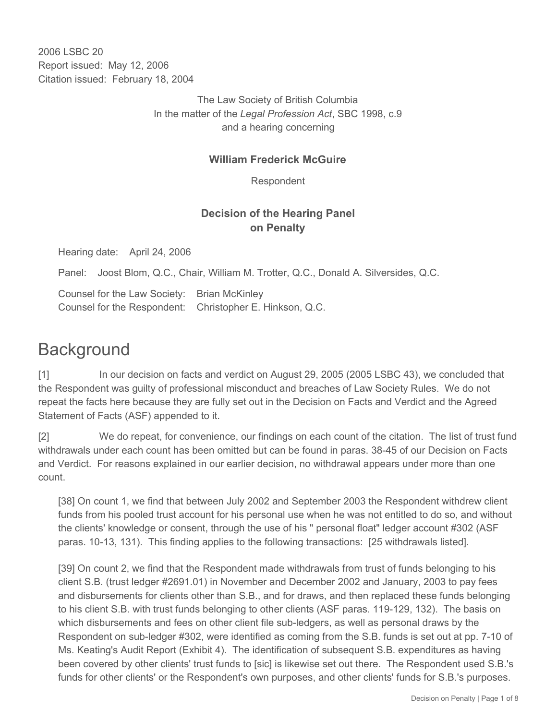2006 LSBC 20 Report issued: May 12, 2006 Citation issued: February 18, 2004

> The Law Society of British Columbia In the matter of the *Legal Profession Act*, SBC 1998, c.9 and a hearing concerning

#### **William Frederick McGuire**

Respondent

## **Decision of the Hearing Panel on Penalty**

Hearing date: April 24, 2006

Panel: Joost Blom, Q.C., Chair, William M. Trotter, Q.C., Donald A. Silversides, Q.C.

Counsel for the Law Society: Brian McKinley Counsel for the Respondent: Christopher E. Hinkson, Q.C.

# **Background**

[1] In our decision on facts and verdict on August 29, 2005 (2005 LSBC 43), we concluded that the Respondent was guilty of professional misconduct and breaches of Law Society Rules. We do not repeat the facts here because they are fully set out in the Decision on Facts and Verdict and the Agreed Statement of Facts (ASF) appended to it.

[2] We do repeat, for convenience, our findings on each count of the citation. The list of trust fund withdrawals under each count has been omitted but can be found in paras. 38-45 of our Decision on Facts and Verdict. For reasons explained in our earlier decision, no withdrawal appears under more than one count.

[38] On count 1, we find that between July 2002 and September 2003 the Respondent withdrew client funds from his pooled trust account for his personal use when he was not entitled to do so, and without the clients' knowledge or consent, through the use of his " personal float" ledger account #302 (ASF paras. 10-13, 131). This finding applies to the following transactions: [25 withdrawals listed].

[39] On count 2, we find that the Respondent made withdrawals from trust of funds belonging to his client S.B. (trust ledger #2691.01) in November and December 2002 and January, 2003 to pay fees and disbursements for clients other than S.B., and for draws, and then replaced these funds belonging to his client S.B. with trust funds belonging to other clients (ASF paras. 119-129, 132). The basis on which disbursements and fees on other client file sub-ledgers, as well as personal draws by the Respondent on sub-ledger #302, were identified as coming from the S.B. funds is set out at pp. 7-10 of Ms. Keating's Audit Report (Exhibit 4). The identification of subsequent S.B. expenditures as having been covered by other clients' trust funds to [sic] is likewise set out there. The Respondent used S.B.'s funds for other clients' or the Respondent's own purposes, and other clients' funds for S.B.'s purposes.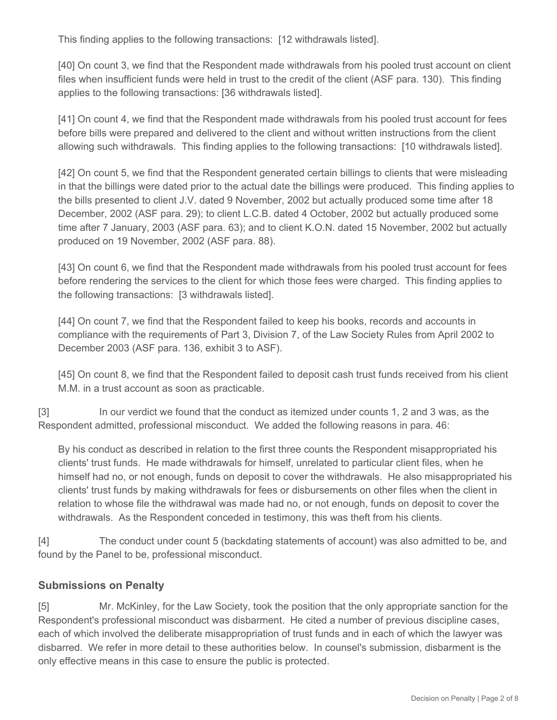This finding applies to the following transactions: [12 withdrawals listed].

[40] On count 3, we find that the Respondent made withdrawals from his pooled trust account on client files when insufficient funds were held in trust to the credit of the client (ASF para. 130). This finding applies to the following transactions: [36 withdrawals listed].

[41] On count 4, we find that the Respondent made withdrawals from his pooled trust account for fees before bills were prepared and delivered to the client and without written instructions from the client allowing such withdrawals. This finding applies to the following transactions: [10 withdrawals listed].

[42] On count 5, we find that the Respondent generated certain billings to clients that were misleading in that the billings were dated prior to the actual date the billings were produced. This finding applies to the bills presented to client J.V. dated 9 November, 2002 but actually produced some time after 18 December, 2002 (ASF para. 29); to client L.C.B. dated 4 October, 2002 but actually produced some time after 7 January, 2003 (ASF para. 63); and to client K.O.N. dated 15 November, 2002 but actually produced on 19 November, 2002 (ASF para. 88).

[43] On count 6, we find that the Respondent made withdrawals from his pooled trust account for fees before rendering the services to the client for which those fees were charged. This finding applies to the following transactions: [3 withdrawals listed].

[44] On count 7, we find that the Respondent failed to keep his books, records and accounts in compliance with the requirements of Part 3, Division 7, of the Law Society Rules from April 2002 to December 2003 (ASF para. 136, exhibit 3 to ASF).

[45] On count 8, we find that the Respondent failed to deposit cash trust funds received from his client M.M. in a trust account as soon as practicable.

[3] In our verdict we found that the conduct as itemized under counts 1, 2 and 3 was, as the Respondent admitted, professional misconduct. We added the following reasons in para. 46:

By his conduct as described in relation to the first three counts the Respondent misappropriated his clients' trust funds. He made withdrawals for himself, unrelated to particular client files, when he himself had no, or not enough, funds on deposit to cover the withdrawals. He also misappropriated his clients' trust funds by making withdrawals for fees or disbursements on other files when the client in relation to whose file the withdrawal was made had no, or not enough, funds on deposit to cover the withdrawals. As the Respondent conceded in testimony, this was theft from his clients.

[4] The conduct under count 5 (backdating statements of account) was also admitted to be, and found by the Panel to be, professional misconduct.

#### **Submissions on Penalty**

[5] Mr. McKinley, for the Law Society, took the position that the only appropriate sanction for the Respondent's professional misconduct was disbarment. He cited a number of previous discipline cases, each of which involved the deliberate misappropriation of trust funds and in each of which the lawyer was disbarred. We refer in more detail to these authorities below. In counsel's submission, disbarment is the only effective means in this case to ensure the public is protected.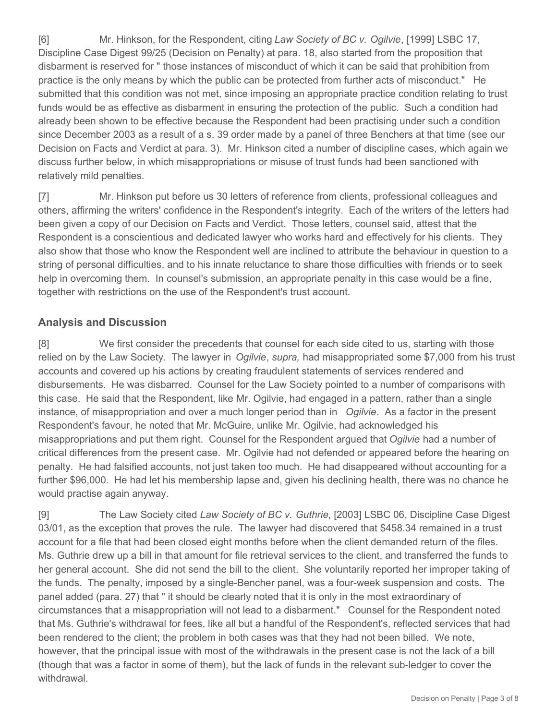[6] Mr. Hinkson, for the Respondent, citing *Law Society of BC v. Ogilvie*, [1999] LSBC 17, Discipline Case Digest 99/25 (Decision on Penalty) at para. 18, also started from the proposition that disbarment is reserved for " those instances of misconduct of which it can be said that prohibition from practice is the only means by which the public can be protected from further acts of misconduct." He submitted that this condition was not met, since imposing an appropriate practice condition relating to trust funds would be as effective as disbarment in ensuring the protection of the public. Such a condition had already been shown to be effective because the Respondent had been practising under such a condition since December 2003 as a result of a s. 39 order made by a panel of three Benchers at that time (see our Decision on Facts and Verdict at para. 3). Mr. Hinkson cited a number of discipline cases, which again we discuss further below, in which misappropriations or misuse of trust funds had been sanctioned with relatively mild penalties.

[7] Mr. Hinkson put before us 30 letters of reference from clients, professional colleagues and others, affirming the writers' confidence in the Respondent's integrity. Each of the writers of the letters had been given a copy of our Decision on Facts and Verdict. Those letters, counsel said, attest that the Respondent is a conscientious and dedicated lawyer who works hard and effectively for his clients. They also show that those who know the Respondent well are inclined to attribute the behaviour in question to a string of personal difficulties, and to his innate reluctance to share those difficulties with friends or to seek help in overcoming them. In counsel's submission, an appropriate penalty in this case would be a fine, together with restrictions on the use of the Respondent's trust account.

## **Analysis and Discussion**

[8] We first consider the precedents that counsel for each side cited to us, starting with those relied on by the Law Society. The lawyer in *Ogilvie*, *supra,* had misappropriated some \$7,000 from his trust accounts and covered up his actions by creating fraudulent statements of services rendered and disbursements. He was disbarred. Counsel for the Law Society pointed to a number of comparisons with this case. He said that the Respondent, like Mr. Ogilvie, had engaged in a pattern, rather than a single instance, of misappropriation and over a much longer period than in *Ogilvie*. As a factor in the present Respondent's favour, he noted that Mr. McGuire, unlike Mr. Ogilvie, had acknowledged his misappropriations and put them right. Counsel for the Respondent argued that *Ogilvie* had a number of critical differences from the present case. Mr. Ogilvie had not defended or appeared before the hearing on penalty. He had falsified accounts, not just taken too much. He had disappeared without accounting for a further \$96,000. He had let his membership lapse and, given his declining health, there was no chance he would practise again anyway.

[9] The Law Society cited *Law Society of BC v. Guthrie*, [2003] LSBC 06, Discipline Case Digest 03/01, as the exception that proves the rule. The lawyer had discovered that \$458.34 remained in a trust account for a file that had been closed eight months before when the client demanded return of the files. Ms. Guthrie drew up a bill in that amount for file retrieval services to the client, and transferred the funds to her general account. She did not send the bill to the client. She voluntarily reported her improper taking of the funds. The penalty, imposed by a single-Bencher panel, was a four-week suspension and costs. The panel added (para. 27) that " it should be clearly noted that it is only in the most extraordinary of circumstances that a misappropriation will not lead to a disbarment." Counsel for the Respondent noted that Ms. Guthrie's withdrawal for fees, like all but a handful of the Respondent's, reflected services that had been rendered to the client; the problem in both cases was that they had not been billed. We note, however, that the principal issue with most of the withdrawals in the present case is not the lack of a bill (though that was a factor in some of them), but the lack of funds in the relevant sub-ledger to cover the withdrawal.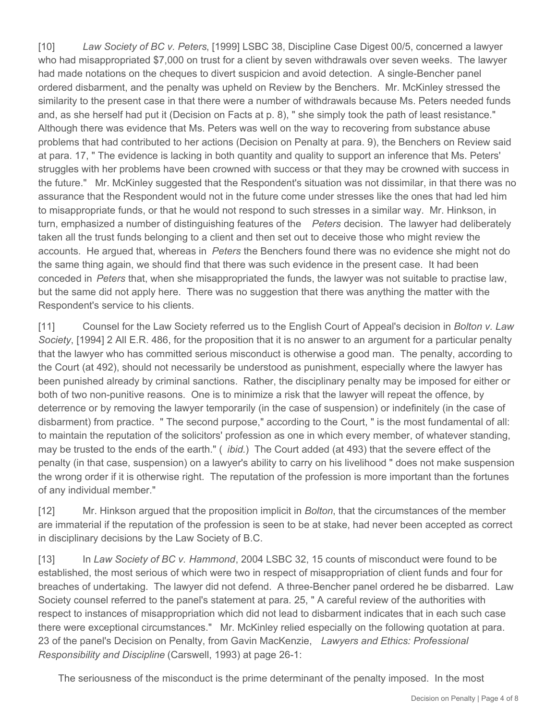[10] *Law Society of BC v. Peters*, [1999] LSBC 38, Discipline Case Digest 00/5, concerned a lawyer who had misappropriated \$7,000 on trust for a client by seven withdrawals over seven weeks. The lawyer had made notations on the cheques to divert suspicion and avoid detection. A single-Bencher panel ordered disbarment, and the penalty was upheld on Review by the Benchers. Mr. McKinley stressed the similarity to the present case in that there were a number of withdrawals because Ms. Peters needed funds and, as she herself had put it (Decision on Facts at p. 8), " she simply took the path of least resistance." Although there was evidence that Ms. Peters was well on the way to recovering from substance abuse problems that had contributed to her actions (Decision on Penalty at para. 9), the Benchers on Review said at para. 17, " The evidence is lacking in both quantity and quality to support an inference that Ms. Peters' struggles with her problems have been crowned with success or that they may be crowned with success in the future." Mr. McKinley suggested that the Respondent's situation was not dissimilar, in that there was no assurance that the Respondent would not in the future come under stresses like the ones that had led him to misappropriate funds, or that he would not respond to such stresses in a similar way. Mr. Hinkson, in turn, emphasized a number of distinguishing features of the *Peters* decision. The lawyer had deliberately taken all the trust funds belonging to a client and then set out to deceive those who might review the accounts. He argued that, whereas in *Peters* the Benchers found there was no evidence she might not do the same thing again, we should find that there was such evidence in the present case. It had been conceded in *Peters* that, when she misappropriated the funds, the lawyer was not suitable to practise law, but the same did not apply here. There was no suggestion that there was anything the matter with the Respondent's service to his clients.

[11] Counsel for the Law Society referred us to the English Court of Appeal's decision in *Bolton v. Law Society*, [1994] 2 All E.R. 486, for the proposition that it is no answer to an argument for a particular penalty that the lawyer who has committed serious misconduct is otherwise a good man. The penalty, according to the Court (at 492), should not necessarily be understood as punishment, especially where the lawyer has been punished already by criminal sanctions. Rather, the disciplinary penalty may be imposed for either or both of two non-punitive reasons. One is to minimize a risk that the lawyer will repeat the offence, by deterrence or by removing the lawyer temporarily (in the case of suspension) or indefinitely (in the case of disbarment) from practice. " The second purpose," according to the Court, " is the most fundamental of all: to maintain the reputation of the solicitors' profession as one in which every member, of whatever standing, may be trusted to the ends of the earth." ( *ibid.*) The Court added (at 493) that the severe effect of the penalty (in that case, suspension) on a lawyer's ability to carry on his livelihood " does not make suspension the wrong order if it is otherwise right. The reputation of the profession is more important than the fortunes of any individual member."

[12] Mr. Hinkson argued that the proposition implicit in *Bolton*, that the circumstances of the member are immaterial if the reputation of the profession is seen to be at stake, had never been accepted as correct in disciplinary decisions by the Law Society of B.C.

[13] In *Law Society of BC v. Hammond*, 2004 LSBC 32, 15 counts of misconduct were found to be established, the most serious of which were two in respect of misappropriation of client funds and four for breaches of undertaking. The lawyer did not defend. A three-Bencher panel ordered he be disbarred. Law Society counsel referred to the panel's statement at para. 25, " A careful review of the authorities with respect to instances of misappropriation which did not lead to disbarment indicates that in each such case there were exceptional circumstances." Mr. McKinley relied especially on the following quotation at para. 23 of the panel's Decision on Penalty, from Gavin MacKenzie, *Lawyers and Ethics: Professional Responsibility and Discipline* (Carswell, 1993) at page 26-1:

The seriousness of the misconduct is the prime determinant of the penalty imposed. In the most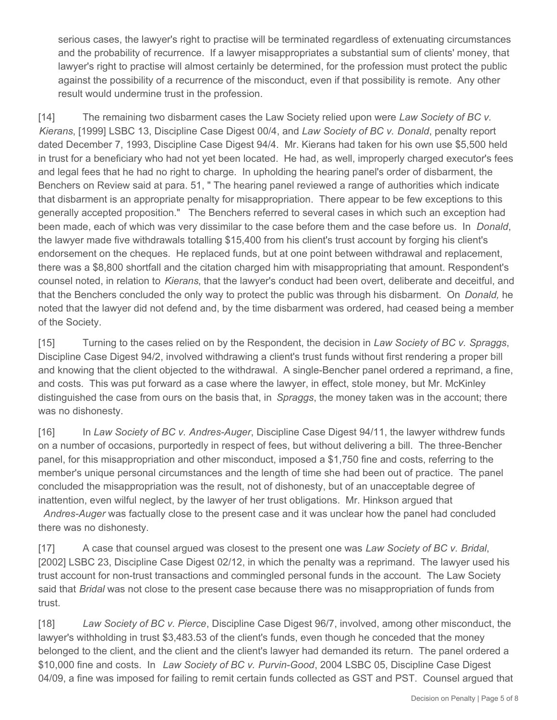serious cases, the lawyer's right to practise will be terminated regardless of extenuating circumstances and the probability of recurrence. If a lawyer misappropriates a substantial sum of clients' money, that lawyer's right to practise will almost certainly be determined, for the profession must protect the public against the possibility of a recurrence of the misconduct, even if that possibility is remote. Any other result would undermine trust in the profession.

[14] The remaining two disbarment cases the Law Society relied upon were *Law Society of BC v. Kierans*, [1999] LSBC 13, Discipline Case Digest 00/4, and *Law Society of BC v. Donald*, penalty report dated December 7, 1993, Discipline Case Digest 94/4. Mr. Kierans had taken for his own use \$5,500 held in trust for a beneficiary who had not yet been located. He had, as well, improperly charged executor's fees and legal fees that he had no right to charge. In upholding the hearing panel's order of disbarment, the Benchers on Review said at para. 51, " The hearing panel reviewed a range of authorities which indicate that disbarment is an appropriate penalty for misappropriation. There appear to be few exceptions to this generally accepted proposition." The Benchers referred to several cases in which such an exception had been made, each of which was very dissimilar to the case before them and the case before us. In *Donald*, the lawyer made five withdrawals totalling \$15,400 from his client's trust account by forging his client's endorsement on the cheques. He replaced funds, but at one point between withdrawal and replacement, there was a \$8,800 shortfall and the citation charged him with misappropriating that amount. Respondent's counsel noted, in relation to *Kierans*, that the lawyer's conduct had been overt, deliberate and deceitful, and that the Benchers concluded the only way to protect the public was through his disbarment. On *Donald,* he noted that the lawyer did not defend and, by the time disbarment was ordered, had ceased being a member of the Society.

[15] Turning to the cases relied on by the Respondent, the decision in *Law Society of BC v. Spraggs*, Discipline Case Digest 94/2, involved withdrawing a client's trust funds without first rendering a proper bill and knowing that the client objected to the withdrawal. A single-Bencher panel ordered a reprimand, a fine, and costs. This was put forward as a case where the lawyer, in effect, stole money, but Mr. McKinley distinguished the case from ours on the basis that, in *Spraggs*, the money taken was in the account; there was no dishonesty.

[16] In *Law Society of BC v. Andres-Auger*, Discipline Case Digest 94/11, the lawyer withdrew funds on a number of occasions, purportedly in respect of fees, but without delivering a bill. The three-Bencher panel, for this misappropriation and other misconduct, imposed a \$1,750 fine and costs, referring to the member's unique personal circumstances and the length of time she had been out of practice. The panel concluded the misappropriation was the result, not of dishonesty, but of an unacceptable degree of inattention, even wilful neglect, by the lawyer of her trust obligations. Mr. Hinkson argued that

*Andres-Auger* was factually close to the present case and it was unclear how the panel had concluded there was no dishonesty.

[17] A case that counsel argued was closest to the present one was *Law Society of BC v. Bridal*, [2002] LSBC 23, Discipline Case Digest 02/12, in which the penalty was a reprimand. The lawyer used his trust account for non-trust transactions and commingled personal funds in the account. The Law Society said that *Bridal* was not close to the present case because there was no misappropriation of funds from trust.

[18] *Law Society of BC v. Pierce*, Discipline Case Digest 96/7, involved, among other misconduct, the lawyer's withholding in trust \$3,483.53 of the client's funds, even though he conceded that the money belonged to the client, and the client and the client's lawyer had demanded its return. The panel ordered a \$10,000 fine and costs. In *Law Society of BC v. Purvin-Good*, 2004 LSBC 05, Discipline Case Digest 04/09, a fine was imposed for failing to remit certain funds collected as GST and PST. Counsel argued that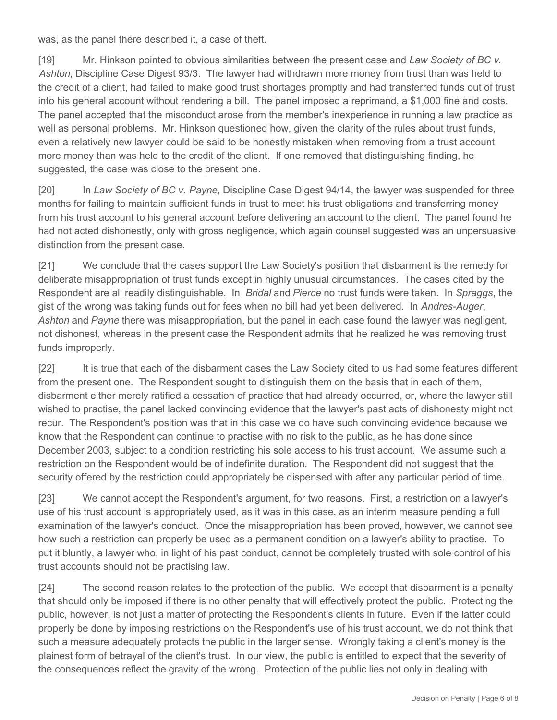was, as the panel there described it, a case of theft.

[19] Mr. Hinkson pointed to obvious similarities between the present case and *Law Society of BC v. Ashton*, Discipline Case Digest 93/3. The lawyer had withdrawn more money from trust than was held to the credit of a client, had failed to make good trust shortages promptly and had transferred funds out of trust into his general account without rendering a bill. The panel imposed a reprimand, a \$1,000 fine and costs. The panel accepted that the misconduct arose from the member's inexperience in running a law practice as well as personal problems. Mr. Hinkson questioned how, given the clarity of the rules about trust funds, even a relatively new lawyer could be said to be honestly mistaken when removing from a trust account more money than was held to the credit of the client. If one removed that distinguishing finding, he suggested, the case was close to the present one.

[20] In *Law Society of BC v. Payne*, Discipline Case Digest 94/14, the lawyer was suspended for three months for failing to maintain sufficient funds in trust to meet his trust obligations and transferring money from his trust account to his general account before delivering an account to the client. The panel found he had not acted dishonestly, only with gross negligence, which again counsel suggested was an unpersuasive distinction from the present case.

[21] We conclude that the cases support the Law Society's position that disbarment is the remedy for deliberate misappropriation of trust funds except in highly unusual circumstances. The cases cited by the Respondent are all readily distinguishable. In *Bridal* and *Pierce* no trust funds were taken. In *Spraggs*, the gist of the wrong was taking funds out for fees when no bill had yet been delivered. In *Andres-Auger*, *Ashton* and *Payne* there was misappropriation, but the panel in each case found the lawyer was negligent, not dishonest, whereas in the present case the Respondent admits that he realized he was removing trust funds improperly.

[22] It is true that each of the disbarment cases the Law Society cited to us had some features different from the present one. The Respondent sought to distinguish them on the basis that in each of them, disbarment either merely ratified a cessation of practice that had already occurred, or, where the lawyer still wished to practise, the panel lacked convincing evidence that the lawyer's past acts of dishonesty might not recur. The Respondent's position was that in this case we do have such convincing evidence because we know that the Respondent can continue to practise with no risk to the public, as he has done since December 2003, subject to a condition restricting his sole access to his trust account. We assume such a restriction on the Respondent would be of indefinite duration. The Respondent did not suggest that the security offered by the restriction could appropriately be dispensed with after any particular period of time.

[23] We cannot accept the Respondent's argument, for two reasons. First, a restriction on a lawyer's use of his trust account is appropriately used, as it was in this case, as an interim measure pending a full examination of the lawyer's conduct. Once the misappropriation has been proved, however, we cannot see how such a restriction can properly be used as a permanent condition on a lawyer's ability to practise. To put it bluntly, a lawyer who, in light of his past conduct, cannot be completely trusted with sole control of his trust accounts should not be practising law.

[24] The second reason relates to the protection of the public. We accept that disbarment is a penalty that should only be imposed if there is no other penalty that will effectively protect the public. Protecting the public, however, is not just a matter of protecting the Respondent's clients in future. Even if the latter could properly be done by imposing restrictions on the Respondent's use of his trust account, we do not think that such a measure adequately protects the public in the larger sense. Wrongly taking a client's money is the plainest form of betrayal of the client's trust. In our view, the public is entitled to expect that the severity of the consequences reflect the gravity of the wrong. Protection of the public lies not only in dealing with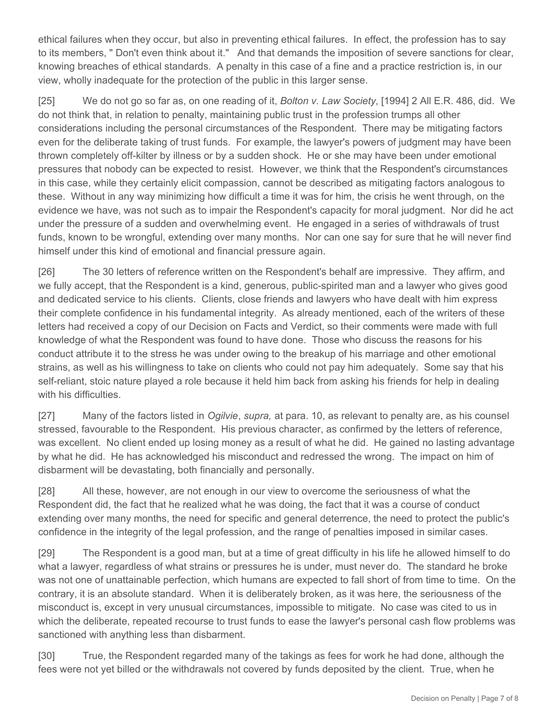ethical failures when they occur, but also in preventing ethical failures. In effect, the profession has to say to its members, " Don't even think about it." And that demands the imposition of severe sanctions for clear, knowing breaches of ethical standards. A penalty in this case of a fine and a practice restriction is, in our view, wholly inadequate for the protection of the public in this larger sense.

[25] We do not go so far as, on one reading of it, *Bolton v. Law Society*, [1994] 2 All E.R. 486, did. We do not think that, in relation to penalty, maintaining public trust in the profession trumps all other considerations including the personal circumstances of the Respondent. There may be mitigating factors even for the deliberate taking of trust funds. For example, the lawyer's powers of judgment may have been thrown completely off-kilter by illness or by a sudden shock. He or she may have been under emotional pressures that nobody can be expected to resist. However, we think that the Respondent's circumstances in this case, while they certainly elicit compassion, cannot be described as mitigating factors analogous to these. Without in any way minimizing how difficult a time it was for him, the crisis he went through, on the evidence we have, was not such as to impair the Respondent's capacity for moral judgment. Nor did he act under the pressure of a sudden and overwhelming event. He engaged in a series of withdrawals of trust funds, known to be wrongful, extending over many months. Nor can one say for sure that he will never find himself under this kind of emotional and financial pressure again.

[26] The 30 letters of reference written on the Respondent's behalf are impressive. They affirm, and we fully accept, that the Respondent is a kind, generous, public-spirited man and a lawyer who gives good and dedicated service to his clients. Clients, close friends and lawyers who have dealt with him express their complete confidence in his fundamental integrity. As already mentioned, each of the writers of these letters had received a copy of our Decision on Facts and Verdict, so their comments were made with full knowledge of what the Respondent was found to have done. Those who discuss the reasons for his conduct attribute it to the stress he was under owing to the breakup of his marriage and other emotional strains, as well as his willingness to take on clients who could not pay him adequately. Some say that his self-reliant, stoic nature played a role because it held him back from asking his friends for help in dealing with his difficulties.

[27] Many of the factors listed in *Ogilvie*, *supra,* at para. 10, as relevant to penalty are, as his counsel stressed, favourable to the Respondent. His previous character, as confirmed by the letters of reference, was excellent. No client ended up losing money as a result of what he did. He gained no lasting advantage by what he did. He has acknowledged his misconduct and redressed the wrong. The impact on him of disbarment will be devastating, both financially and personally.

[28] All these, however, are not enough in our view to overcome the seriousness of what the Respondent did, the fact that he realized what he was doing, the fact that it was a course of conduct extending over many months, the need for specific and general deterrence, the need to protect the public's confidence in the integrity of the legal profession, and the range of penalties imposed in similar cases.

[29] The Respondent is a good man, but at a time of great difficulty in his life he allowed himself to do what a lawyer, regardless of what strains or pressures he is under, must never do. The standard he broke was not one of unattainable perfection, which humans are expected to fall short of from time to time. On the contrary, it is an absolute standard. When it is deliberately broken, as it was here, the seriousness of the misconduct is, except in very unusual circumstances, impossible to mitigate. No case was cited to us in which the deliberate, repeated recourse to trust funds to ease the lawyer's personal cash flow problems was sanctioned with anything less than disbarment.

[30] True, the Respondent regarded many of the takings as fees for work he had done, although the fees were not yet billed or the withdrawals not covered by funds deposited by the client. True, when he